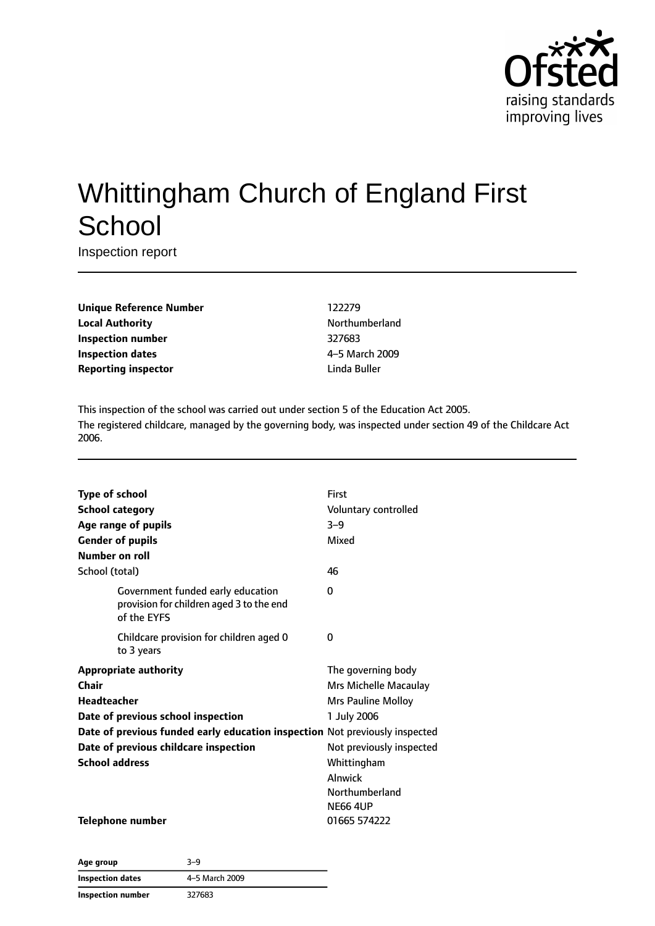

# Whittingham Church of England First **School**

Inspection report

**Unique Reference Number** 122279 **Local Authority Northumberland Inspection number** 327683 **Inspection dates** 4–5 March 2009 **Reporting inspector and a linda Buller** Linda Buller

This inspection of the school was carried out under section 5 of the Education Act 2005. The registered childcare, managed by the governing body, was inspected under section 49 of the Childcare Act 2006.

| <b>Type of school</b>                                                       |                                                                                              | First                    |  |
|-----------------------------------------------------------------------------|----------------------------------------------------------------------------------------------|--------------------------|--|
| <b>School category</b>                                                      |                                                                                              | Voluntary controlled     |  |
|                                                                             | Age range of pupils                                                                          | $3 - 9$                  |  |
|                                                                             | <b>Gender of pupils</b>                                                                      | Mixed                    |  |
| <b>Number on roll</b>                                                       |                                                                                              |                          |  |
| School (total)                                                              |                                                                                              | 46                       |  |
|                                                                             | Government funded early education<br>provision for children aged 3 to the end<br>of the EYFS | 0                        |  |
|                                                                             | Childcare provision for children aged 0<br>to 3 years                                        | 0                        |  |
|                                                                             | <b>Appropriate authority</b>                                                                 | The governing body       |  |
| Chair                                                                       |                                                                                              | Mrs Michelle Macaulay    |  |
| <b>Headteacher</b>                                                          |                                                                                              | Mrs Pauline Molloy       |  |
| Date of previous school inspection                                          |                                                                                              | 1 July 2006              |  |
| Date of previous funded early education inspection Not previously inspected |                                                                                              |                          |  |
| Date of previous childcare inspection                                       |                                                                                              | Not previously inspected |  |
| <b>School address</b>                                                       |                                                                                              | Whittingham              |  |
|                                                                             |                                                                                              | Alnwick                  |  |
|                                                                             |                                                                                              | Northumberland           |  |
|                                                                             |                                                                                              | <b>NE66 4UP</b>          |  |
|                                                                             | <b>Telephone number</b>                                                                      | 01665 574222             |  |

| Age group         | 3-9            |
|-------------------|----------------|
| Inspection dates  | 4-5 March 2009 |
| Inspection number | 327683         |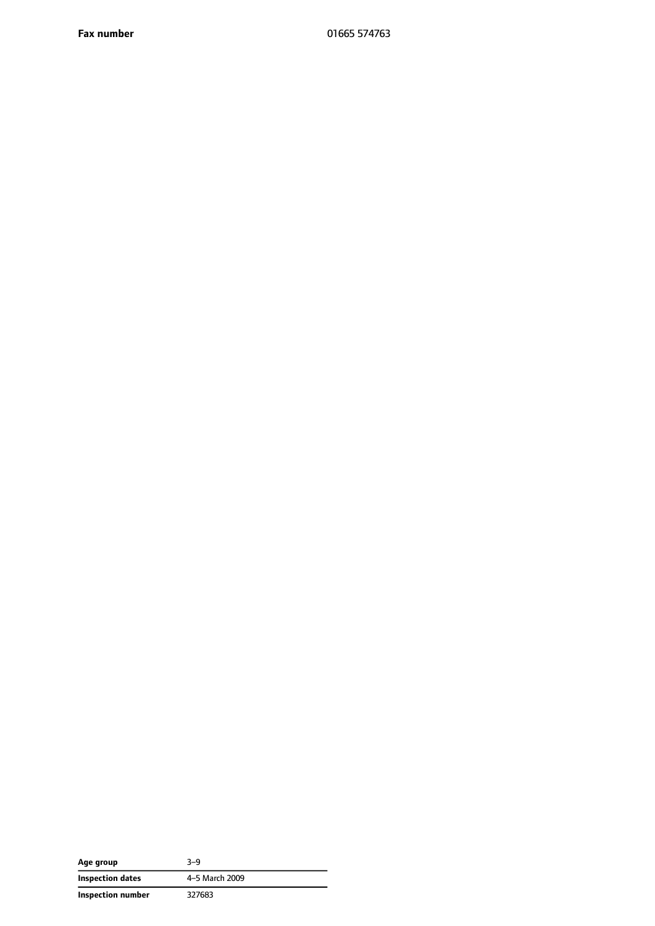**Fax number** 01665 574763

| Age group         | $3 - 9$        |
|-------------------|----------------|
| Inspection dates  | 4-5 March 2009 |
| Inspection number | 327683         |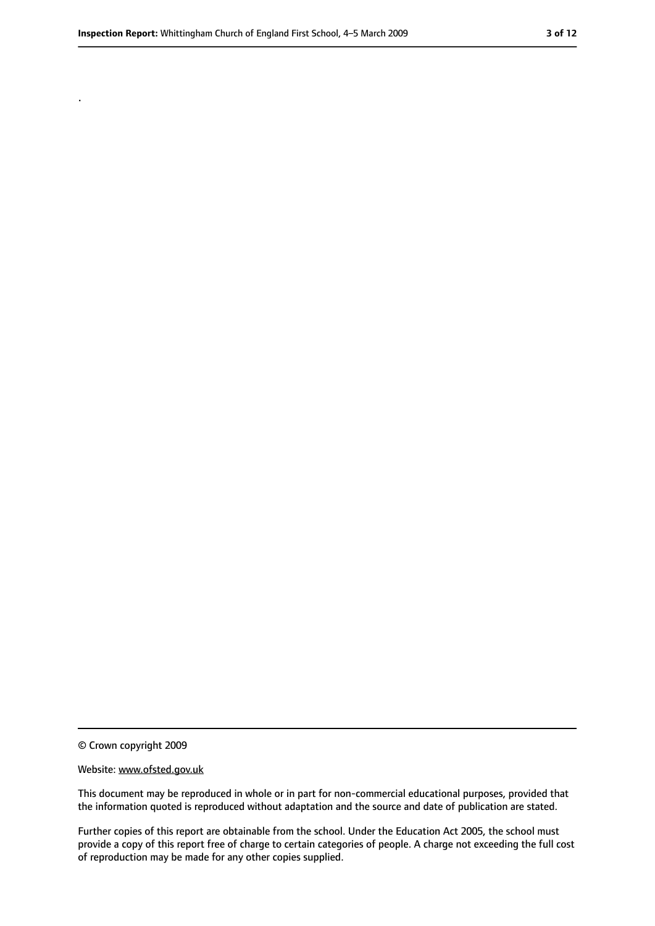.

<sup>©</sup> Crown copyright 2009

Website: www.ofsted.gov.uk

This document may be reproduced in whole or in part for non-commercial educational purposes, provided that the information quoted is reproduced without adaptation and the source and date of publication are stated.

Further copies of this report are obtainable from the school. Under the Education Act 2005, the school must provide a copy of this report free of charge to certain categories of people. A charge not exceeding the full cost of reproduction may be made for any other copies supplied.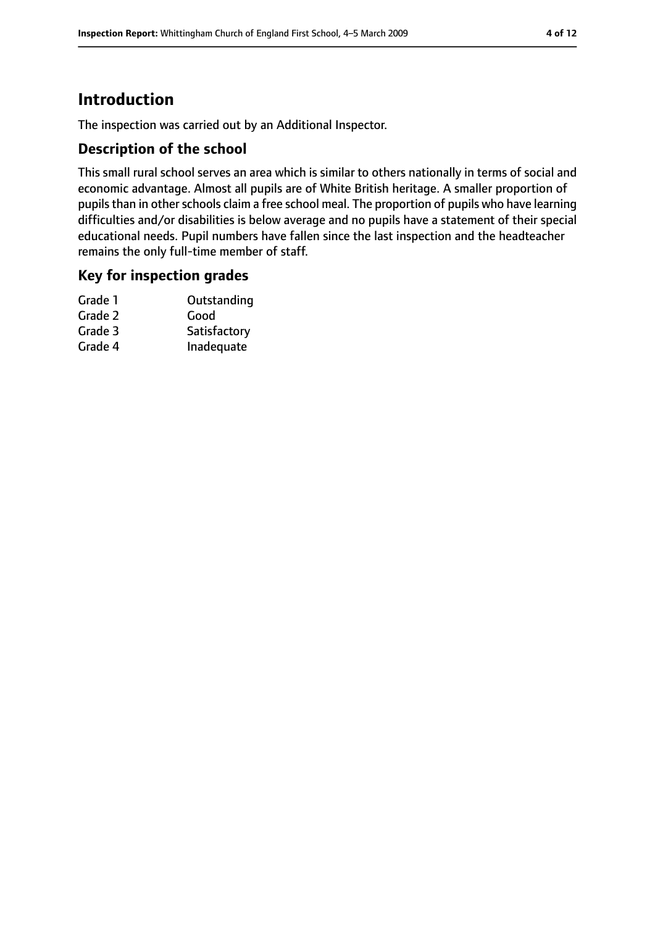# **Introduction**

The inspection was carried out by an Additional Inspector.

### **Description of the school**

This small rural school serves an area which is similar to others nationally in terms of social and economic advantage. Almost all pupils are of White British heritage. A smaller proportion of pupils than in other schools claim a free school meal. The proportion of pupils who have learning difficulties and/or disabilities is below average and no pupils have a statement of their special educational needs. Pupil numbers have fallen since the last inspection and the headteacher remains the only full-time member of staff.

### **Key for inspection grades**

| Outstanding  |
|--------------|
| Good         |
| Satisfactory |
| Inadequate   |
|              |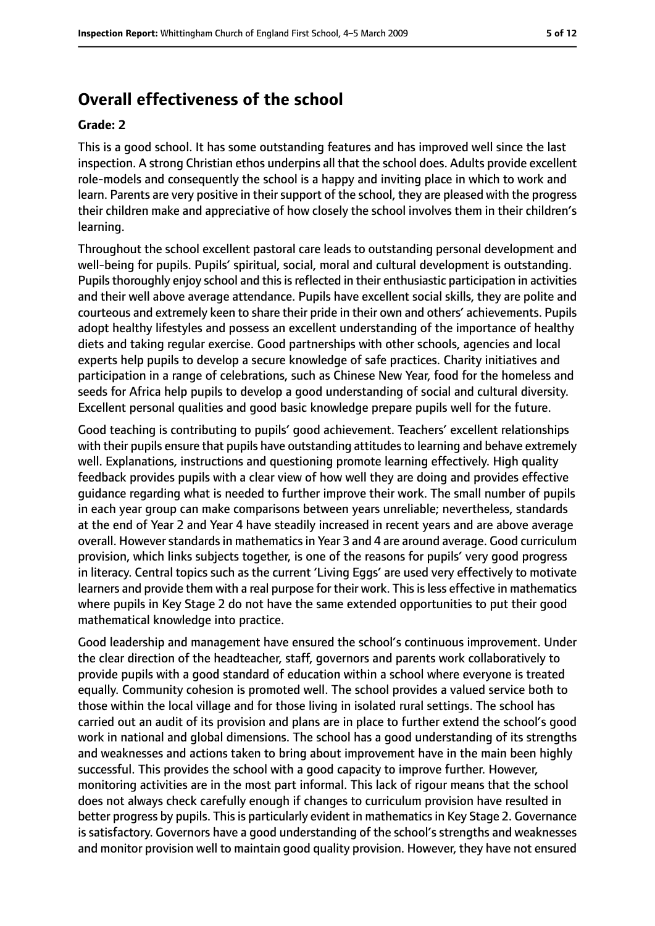# **Overall effectiveness of the school**

#### **Grade: 2**

This is a good school. It has some outstanding features and has improved well since the last inspection. A strong Christian ethos underpins all that the school does. Adults provide excellent role-models and consequently the school is a happy and inviting place in which to work and learn. Parents are very positive in their support of the school, they are pleased with the progress their children make and appreciative of how closely the school involves them in their children's learning.

Throughout the school excellent pastoral care leads to outstanding personal development and well-being for pupils. Pupils' spiritual, social, moral and cultural development is outstanding. Pupils thoroughly enjoy school and this is reflected in their enthusiastic participation in activities and their well above average attendance. Pupils have excellent social skills, they are polite and courteous and extremely keen to share their pride in their own and others' achievements. Pupils adopt healthy lifestyles and possess an excellent understanding of the importance of healthy diets and taking regular exercise. Good partnerships with other schools, agencies and local experts help pupils to develop a secure knowledge of safe practices. Charity initiatives and participation in a range of celebrations, such as Chinese New Year, food for the homeless and seeds for Africa help pupils to develop a good understanding of social and cultural diversity. Excellent personal qualities and good basic knowledge prepare pupils well for the future.

Good teaching is contributing to pupils' good achievement. Teachers' excellent relationships with their pupils ensure that pupils have outstanding attitudes to learning and behave extremely well. Explanations, instructions and questioning promote learning effectively. High quality feedback provides pupils with a clear view of how well they are doing and provides effective guidance regarding what is needed to further improve their work. The small number of pupils in each year group can make comparisons between years unreliable; nevertheless, standards at the end of Year 2 and Year 4 have steadily increased in recent years and are above average overall. However standards in mathematics in Year 3 and 4 are around average. Good curriculum provision, which links subjects together, is one of the reasons for pupils' very good progress in literacy. Central topics such as the current 'Living Eggs' are used very effectively to motivate learners and provide them with a real purpose for their work. This is less effective in mathematics where pupils in Key Stage 2 do not have the same extended opportunities to put their good mathematical knowledge into practice.

Good leadership and management have ensured the school's continuous improvement. Under the clear direction of the headteacher, staff, governors and parents work collaboratively to provide pupils with a good standard of education within a school where everyone is treated equally. Community cohesion is promoted well. The school provides a valued service both to those within the local village and for those living in isolated rural settings. The school has carried out an audit of its provision and plans are in place to further extend the school's good work in national and global dimensions. The school has a good understanding of its strengths and weaknesses and actions taken to bring about improvement have in the main been highly successful. This provides the school with a good capacity to improve further. However, monitoring activities are in the most part informal. This lack of rigour means that the school does not always check carefully enough if changes to curriculum provision have resulted in better progress by pupils. This is particularly evident in mathematics in Key Stage 2. Governance is satisfactory. Governors have a good understanding of the school's strengths and weaknesses and monitor provision well to maintain good quality provision. However, they have not ensured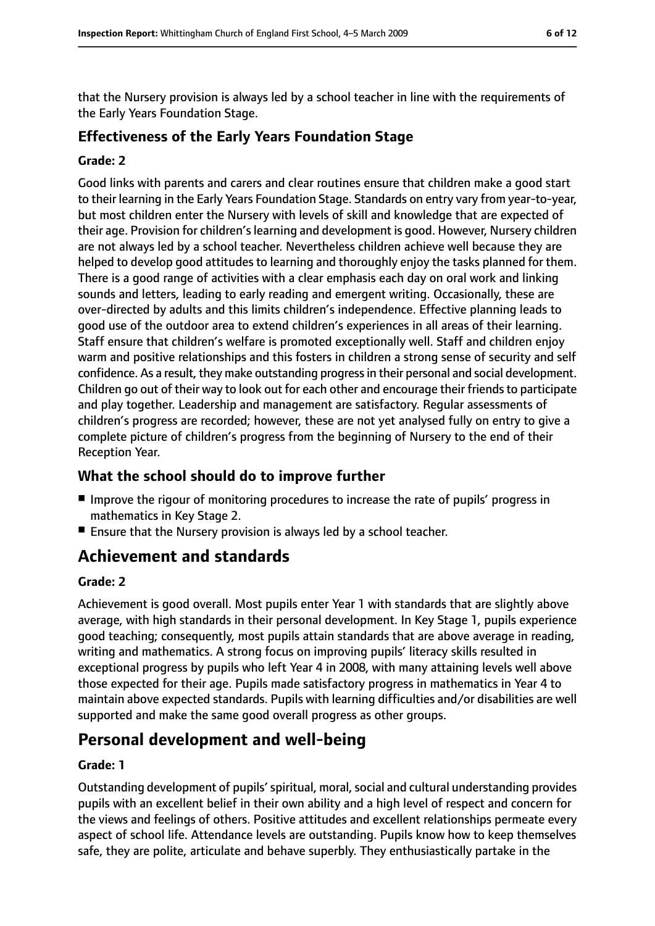that the Nursery provision is always led by a school teacher in line with the requirements of the Early Years Foundation Stage.

# **Effectiveness of the Early Years Foundation Stage**

#### **Grade: 2**

Good links with parents and carers and clear routines ensure that children make a good start to their learning in the Early Years Foundation Stage. Standards on entry vary from year-to-year, but most children enter the Nursery with levels of skill and knowledge that are expected of their age. Provision for children'slearning and development is good. However, Nursery children are not always led by a school teacher. Nevertheless children achieve well because they are helped to develop good attitudes to learning and thoroughly enjoy the tasks planned for them. There is a good range of activities with a clear emphasis each day on oral work and linking sounds and letters, leading to early reading and emergent writing. Occasionally, these are over-directed by adults and this limits children's independence. Effective planning leads to good use of the outdoor area to extend children's experiences in all areas of their learning. Staff ensure that children's welfare is promoted exceptionally well. Staff and children enjoy warm and positive relationships and this fosters in children a strong sense of security and self confidence. As a result, they make outstanding progressin their personal and social development. Children go out of their way to look out for each other and encourage their friendsto participate and play together. Leadership and management are satisfactory. Regular assessments of children's progress are recorded; however, these are not yet analysed fully on entry to give a complete picture of children's progress from the beginning of Nursery to the end of their Reception Year.

### **What the school should do to improve further**

- Improve the rigour of monitoring procedures to increase the rate of pupils' progress in mathematics in Key Stage 2.
- Ensure that the Nursery provision is always led by a school teacher.

# **Achievement and standards**

#### **Grade: 2**

Achievement is good overall. Most pupils enter Year 1 with standards that are slightly above average, with high standards in their personal development. In Key Stage 1, pupils experience good teaching; consequently, most pupils attain standards that are above average in reading, writing and mathematics. A strong focus on improving pupils' literacy skills resulted in exceptional progress by pupils who left Year 4 in 2008, with many attaining levels well above those expected for their age. Pupils made satisfactory progress in mathematics in Year 4 to maintain above expected standards. Pupils with learning difficulties and/or disabilities are well supported and make the same good overall progress as other groups.

# **Personal development and well-being**

#### **Grade: 1**

Outstanding development of pupils' spiritual, moral, social and cultural understanding provides pupils with an excellent belief in their own ability and a high level of respect and concern for the views and feelings of others. Positive attitudes and excellent relationships permeate every aspect of school life. Attendance levels are outstanding. Pupils know how to keep themselves safe, they are polite, articulate and behave superbly. They enthusiastically partake in the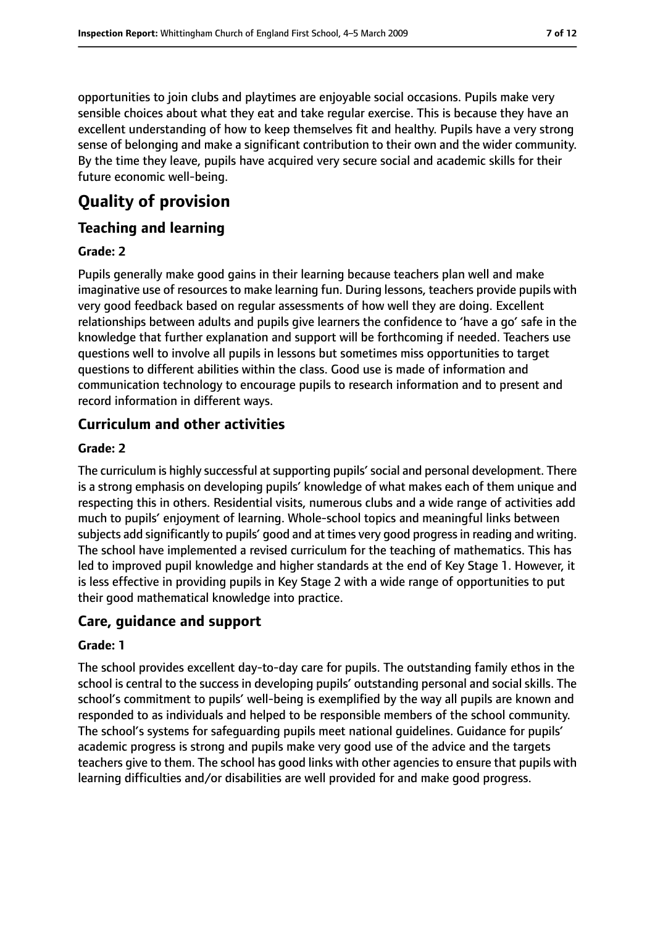opportunities to join clubs and playtimes are enjoyable social occasions. Pupils make very sensible choices about what they eat and take regular exercise. This is because they have an excellent understanding of how to keep themselves fit and healthy. Pupils have a very strong sense of belonging and make a significant contribution to their own and the wider community. By the time they leave, pupils have acquired very secure social and academic skills for their future economic well-being.

# **Quality of provision**

### **Teaching and learning**

#### **Grade: 2**

Pupils generally make good gains in their learning because teachers plan well and make imaginative use of resources to make learning fun. During lessons, teachers provide pupils with very good feedback based on regular assessments of how well they are doing. Excellent relationships between adults and pupils give learners the confidence to 'have a go' safe in the knowledge that further explanation and support will be forthcoming if needed. Teachers use questions well to involve all pupils in lessons but sometimes miss opportunities to target questions to different abilities within the class. Good use is made of information and communication technology to encourage pupils to research information and to present and record information in different ways.

### **Curriculum and other activities**

#### **Grade: 2**

The curriculum is highly successful at supporting pupils' social and personal development. There is a strong emphasis on developing pupils' knowledge of what makes each of them unique and respecting this in others. Residential visits, numerous clubs and a wide range of activities add much to pupils' enjoyment of learning. Whole-school topics and meaningful links between subjects add significantly to pupils' good and at times very good progressin reading and writing. The school have implemented a revised curriculum for the teaching of mathematics. This has led to improved pupil knowledge and higher standards at the end of Key Stage 1. However, it is less effective in providing pupils in Key Stage 2 with a wide range of opportunities to put their good mathematical knowledge into practice.

### **Care, guidance and support**

#### **Grade: 1**

The school provides excellent day-to-day care for pupils. The outstanding family ethos in the school is central to the success in developing pupils' outstanding personal and social skills. The school's commitment to pupils' well-being is exemplified by the way all pupils are known and responded to as individuals and helped to be responsible members of the school community. The school's systems for safeguarding pupils meet national guidelines. Guidance for pupils' academic progress is strong and pupils make very good use of the advice and the targets teachers give to them. The school has good links with other agencies to ensure that pupils with learning difficulties and/or disabilities are well provided for and make good progress.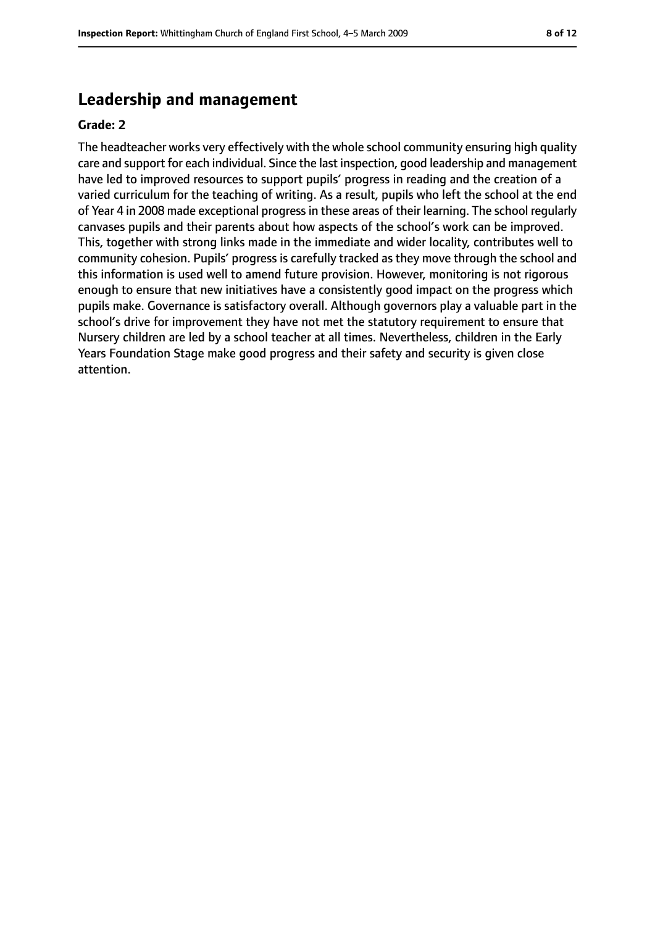# **Leadership and management**

#### **Grade: 2**

The headteacher works very effectively with the whole school community ensuring high quality care and support for each individual. Since the last inspection, good leadership and management have led to improved resources to support pupils' progress in reading and the creation of a varied curriculum for the teaching of writing. As a result, pupils who left the school at the end of Year 4 in 2008 made exceptional progressin these areas of their learning. The school regularly canvases pupils and their parents about how aspects of the school's work can be improved. This, together with strong links made in the immediate and wider locality, contributes well to community cohesion. Pupils' progress is carefully tracked as they move through the school and this information is used well to amend future provision. However, monitoring is not rigorous enough to ensure that new initiatives have a consistently good impact on the progress which pupils make. Governance is satisfactory overall. Although governors play a valuable part in the school's drive for improvement they have not met the statutory requirement to ensure that Nursery children are led by a school teacher at all times. Nevertheless, children in the Early Years Foundation Stage make good progress and their safety and security is given close attention.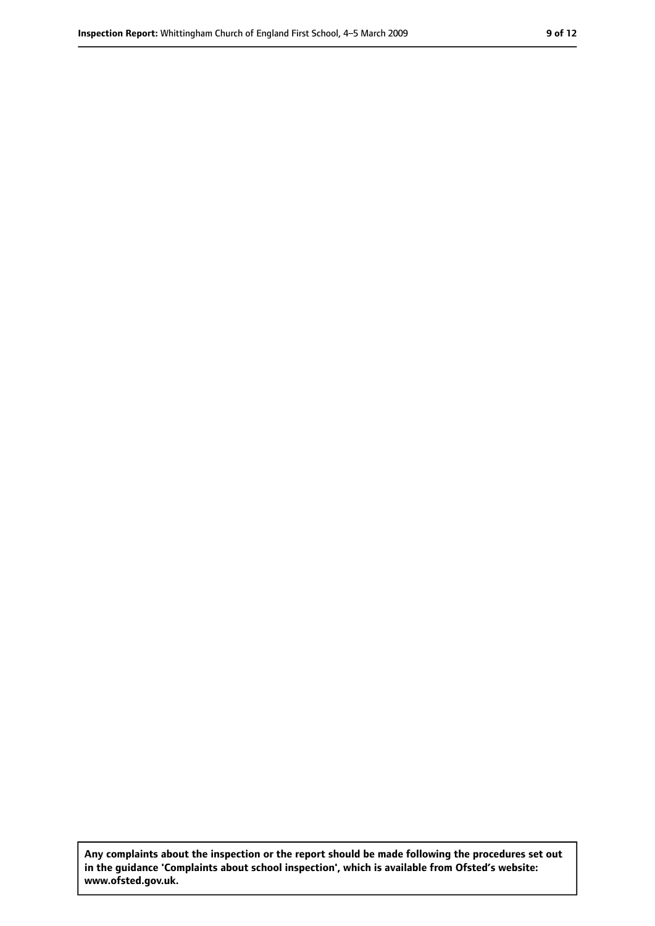**Any complaints about the inspection or the report should be made following the procedures set out in the guidance 'Complaints about school inspection', which is available from Ofsted's website: www.ofsted.gov.uk.**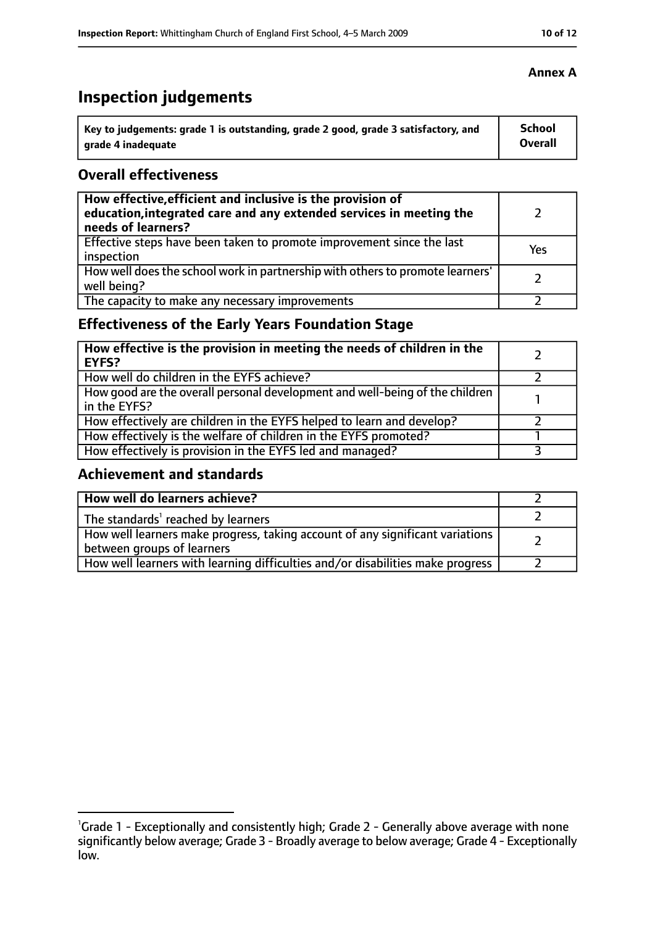# **Inspection judgements**

| Key to judgements: grade 1 is outstanding, grade 2 good, grade 3 satisfactory, and | <b>School</b>  |
|------------------------------------------------------------------------------------|----------------|
| arade 4 inadequate                                                                 | <b>Overall</b> |

# **Overall effectiveness**

| How effective, efficient and inclusive is the provision of<br>education, integrated care and any extended services in meeting the<br>needs of learners? |     |
|---------------------------------------------------------------------------------------------------------------------------------------------------------|-----|
| Effective steps have been taken to promote improvement since the last<br>inspection                                                                     | Yes |
| How well does the school work in partnership with others to promote learners'<br>well being?                                                            |     |
| The capacity to make any necessary improvements                                                                                                         |     |

# **Effectiveness of the Early Years Foundation Stage**

| How effective is the provision in meeting the needs of children in the<br><b>EYFS?</b>       |  |
|----------------------------------------------------------------------------------------------|--|
| How well do children in the EYFS achieve?                                                    |  |
| How good are the overall personal development and well-being of the children<br>in the EYFS? |  |
| How effectively are children in the EYFS helped to learn and develop?                        |  |
| How effectively is the welfare of children in the EYFS promoted?                             |  |
| How effectively is provision in the EYFS led and managed?                                    |  |

# **Achievement and standards**

| How well do learners achieve?                                                                               |  |
|-------------------------------------------------------------------------------------------------------------|--|
| The standards <sup>1</sup> reached by learners                                                              |  |
| How well learners make progress, taking account of any significant variations<br>between groups of learners |  |
| How well learners with learning difficulties and/or disabilities make progress                              |  |

<sup>&</sup>lt;sup>1</sup>Grade 1 - Exceptionally and consistently high; Grade 2 - Generally above average with none significantly below average; Grade 3 - Broadly average to below average; Grade 4 - Exceptionally low.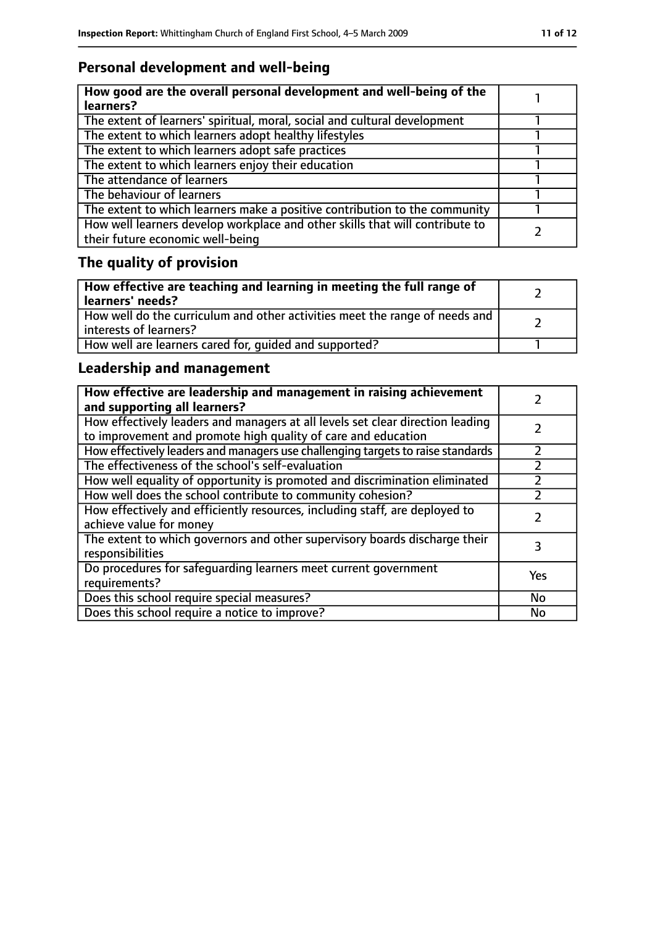# **Personal development and well-being**

| How good are the overall personal development and well-being of the<br>learners?                                 |  |
|------------------------------------------------------------------------------------------------------------------|--|
| The extent of learners' spiritual, moral, social and cultural development                                        |  |
| The extent to which learners adopt healthy lifestyles                                                            |  |
| The extent to which learners adopt safe practices                                                                |  |
| The extent to which learners enjoy their education                                                               |  |
| The attendance of learners                                                                                       |  |
| The behaviour of learners                                                                                        |  |
| The extent to which learners make a positive contribution to the community                                       |  |
| How well learners develop workplace and other skills that will contribute to<br>their future economic well-being |  |

# **The quality of provision**

| How effective are teaching and learning in meeting the full range of<br>learners' needs?              |  |
|-------------------------------------------------------------------------------------------------------|--|
| How well do the curriculum and other activities meet the range of needs and<br>interests of learners? |  |
| How well are learners cared for, quided and supported?                                                |  |

# **Leadership and management**

| How effective are leadership and management in raising achievement<br>and supporting all learners?                                              |           |
|-------------------------------------------------------------------------------------------------------------------------------------------------|-----------|
| How effectively leaders and managers at all levels set clear direction leading<br>to improvement and promote high quality of care and education |           |
| How effectively leaders and managers use challenging targets to raise standards                                                                 |           |
| The effectiveness of the school's self-evaluation                                                                                               |           |
| How well equality of opportunity is promoted and discrimination eliminated                                                                      |           |
| How well does the school contribute to community cohesion?                                                                                      |           |
| How effectively and efficiently resources, including staff, are deployed to<br>achieve value for money                                          |           |
| The extent to which governors and other supervisory boards discharge their<br>responsibilities                                                  | 3         |
| Do procedures for safequarding learners meet current government<br>requirements?                                                                | Yes       |
| Does this school require special measures?                                                                                                      | <b>No</b> |
| Does this school require a notice to improve?                                                                                                   | No        |